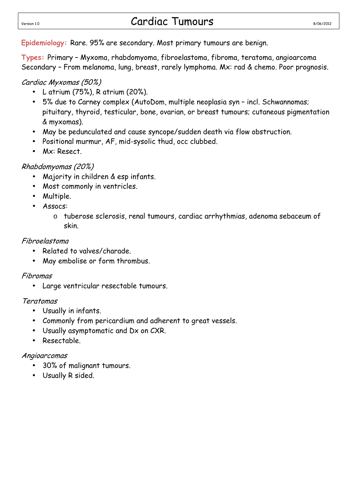## Version 1.0 **Cardiac Tumours** 8/06/2012

**Epidemiology:** Rare. 95% are secondary. Most primary tumours are benign.

**Types:** Primary – Myxoma, rhabdomyoma, fibroelastoma, fibroma, teratoma, angioarcoma Secondary – From melanoma, lung, breast, rarely lymphoma. Mx: rad & chemo. Poor prognosis.

#### Cardiac Myxomas (50%)

- L atrium (75%), R atrium (20%).
- 5% due to Carney complex (AutoDom, multiple neoplasia syn incl. Schwannomas; pituitary, thyroid, testicular, bone, ovarian, or breast tumours; cutaneous pigmentation & myxomas).
- May be pedunculated and cause syncope/sudden death via flow obstruction.
- Positional murmur, AF, mid-sysolic thud, occ clubbed.
- Mx: Resect.

### Rhabdomyomas (20%)

- Majority in children & esp infants.
- Most commonly in ventricles.
- Multiple.
- Assocs:
	- o tuberose sclerosis, renal tumours, cardiac arrhythmias, adenoma sebaceum of skin.

### Fibroelastoma

- Related to valves/charade.
- May embolise or form thrombus.

### Fibromas

• Large ventricular resectable tumours.

### Teratomas

- Usually in infants.
- Commonly from pericardium and adherent to great vessels.
- Usually asymptomatic and Dx on CXR.
- Resectable.

### Angioarcomas

- 30% of malignant tumours.
- Usually R sided.